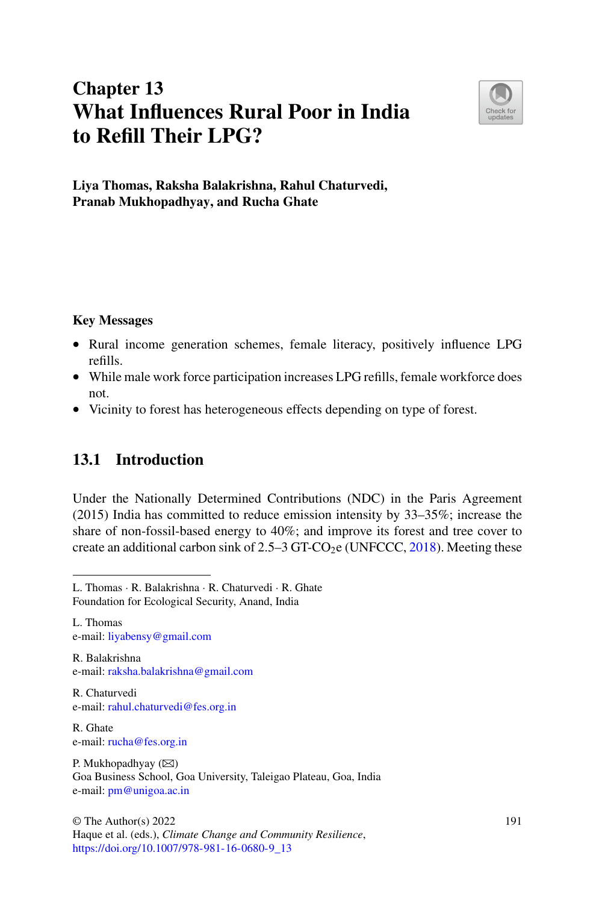# **Chapter 13 What Influences Rural Poor in India to Refill Their LPG?**



**Liya Thomas, Raksha Balakrishna, Rahul Chaturvedi, Pranab Mukhopadhyay, and Rucha Ghate**

# **Key Messages**

- Rural income generation schemes, female literacy, positively influence LPG refills.
- While male work force participation increases LPG refills, female workforce does not.
- Vicinity to forest has heterogeneous effects depending on type of forest.

# **13.1 Introduction**

Under the Nationally Determined Contributions (NDC) in the Paris Agreement (2015) India has committed to reduce emission intensity by 33–35%; increase the share of non-fossil-based energy to 40%; and improve its forest and tree cover to create an additional carbon sink of  $2.5-3$  GT-CO<sub>2</sub>e (UNFCCC, [2018\)](#page-12-0). Meeting these

L. Thomas e-mail: [liyabensy@gmail.com](mailto:liyabensy@gmail.com)

R. Balakrishna e-mail: [raksha.balakrishna@gmail.com](mailto:raksha.balakrishna@gmail.com)

R. Chaturvedi e-mail: [rahul.chaturvedi@fes.org.in](mailto:rahul.chaturvedi@fes.org.in)

R. Ghate e-mail: [rucha@fes.org.in](mailto:rucha@fes.org.in)

P. Mukhopadhyay (⊠) Goa Business School, Goa University, Taleigao Plateau, Goa, India e-mail: [pm@unigoa.ac.in](mailto:pm@unigoa.ac.in)

L. Thomas · R. Balakrishna · R. Chaturvedi · R. Ghate Foundation for Ecological Security, Anand, India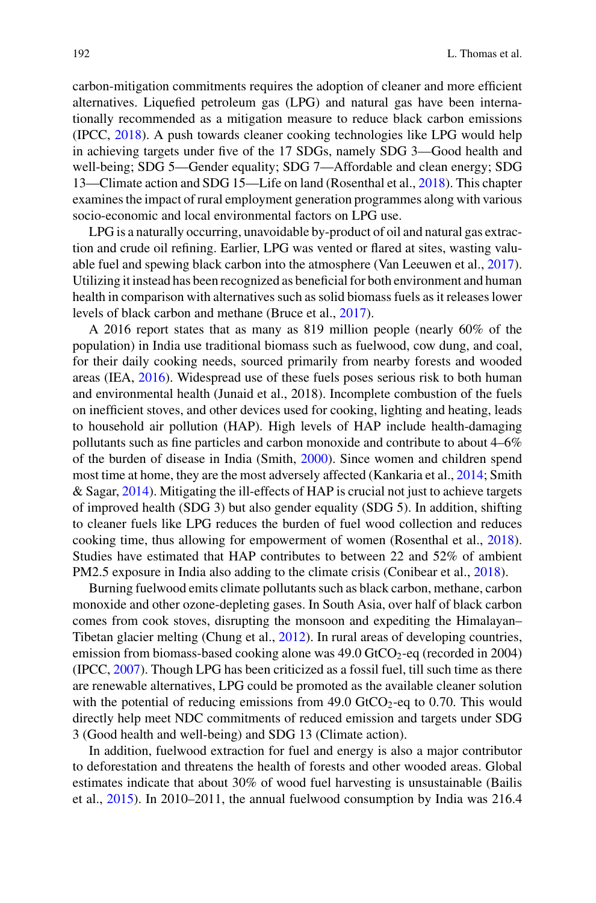carbon-mitigation commitments requires the adoption of cleaner and more efficient alternatives. Liquefied petroleum gas (LPG) and natural gas have been internationally recommended as a mitigation measure to reduce black carbon emissions (IPCC, [2018\)](#page-11-0). A push towards cleaner cooking technologies like LPG would help in achieving targets under five of the 17 SDGs, namely SDG 3—Good health and well-being; SDG 5—Gender equality; SDG 7—Affordable and clean energy; SDG 13—Climate action and SDG 15—Life on land (Rosenthal et al., [2018\)](#page-12-1). This chapter examines the impact of rural employment generation programmes along with various socio-economic and local environmental factors on LPG use.

LPG is a naturally occurring, unavoidable by-product of oil and natural gas extraction and crude oil refining. Earlier, LPG was vented or flared at sites, wasting valuable fuel and spewing black carbon into the atmosphere (Van Leeuwen et al., [2017\)](#page-12-2). Utilizing it instead has been recognized as beneficial for both environment and human health in comparison with alternatives such as solid biomass fuels as it releases lower levels of black carbon and methane (Bruce et al., [2017\)](#page-10-0).

A 2016 report states that as many as 819 million people (nearly 60% of the population) in India use traditional biomass such as fuelwood, cow dung, and coal, for their daily cooking needs, sourced primarily from nearby forests and wooded areas (IEA, [2016\)](#page-11-1). Widespread use of these fuels poses serious risk to both human and environmental health (Junaid et al., 2018). Incomplete combustion of the fuels on inefficient stoves, and other devices used for cooking, lighting and heating, leads to household air pollution (HAP). High levels of HAP include health-damaging pollutants such as fine particles and carbon monoxide and contribute to about 4–6% of the burden of disease in India (Smith, [2000\)](#page-12-3). Since women and children spend most time at home, they are the most adversely affected (Kankaria et al., [2014;](#page-11-2) Smith & Sagar, [2014\)](#page-12-4). Mitigating the ill-effects of HAP is crucial not just to achieve targets of improved health (SDG 3) but also gender equality (SDG 5). In addition, shifting to cleaner fuels like LPG reduces the burden of fuel wood collection and reduces cooking time, thus allowing for empowerment of women (Rosenthal et al., [2018\)](#page-12-1). Studies have estimated that HAP contributes to between 22 and 52% of ambient PM2.5 exposure in India also adding to the climate crisis (Conibear et al., [2018\)](#page-10-1).

Burning fuelwood emits climate pollutants such as black carbon, methane, carbon monoxide and other ozone-depleting gases. In South Asia, over half of black carbon comes from cook stoves, disrupting the monsoon and expediting the Himalayan– Tibetan glacier melting (Chung et al., [2012\)](#page-10-2). In rural areas of developing countries, emission from biomass-based cooking alone was  $49.0$  GtCO<sub>2</sub>-eq (recorded in 2004) (IPCC, [2007\)](#page-11-3). Though LPG has been criticized as a fossil fuel, till such time as there are renewable alternatives, LPG could be promoted as the available cleaner solution with the potential of reducing emissions from  $49.0 \text{ GtCO}_2$ -eq to 0.70. This would directly help meet NDC commitments of reduced emission and targets under SDG 3 (Good health and well-being) and SDG 13 (Climate action).

In addition, fuelwood extraction for fuel and energy is also a major contributor to deforestation and threatens the health of forests and other wooded areas. Global estimates indicate that about 30% of wood fuel harvesting is unsustainable (Bailis et al., [2015\)](#page-10-3). In 2010–2011, the annual fuelwood consumption by India was 216.4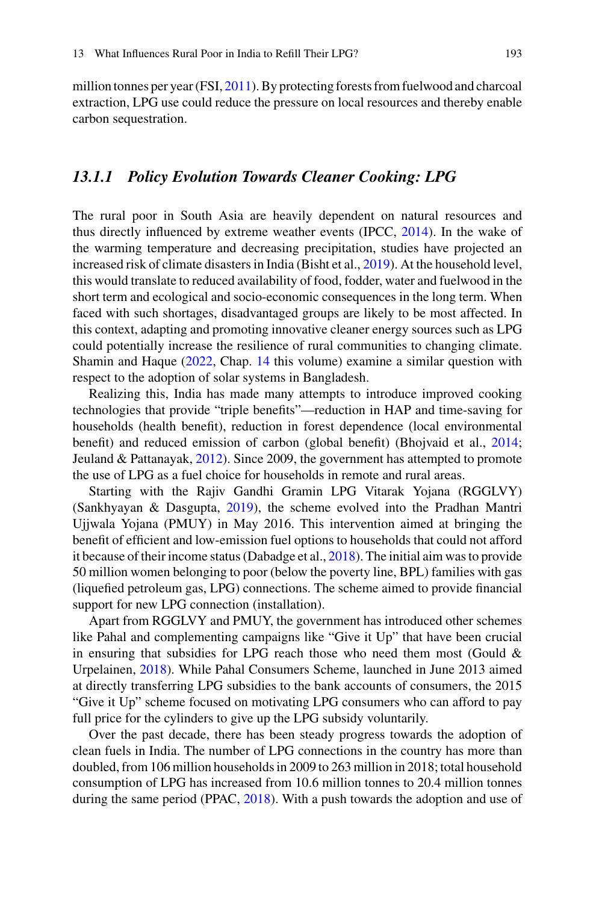million tonnes per year (FSI, [2011\)](#page-10-4). By protecting forests from fuelwood and charcoal extraction, LPG use could reduce the pressure on local resources and thereby enable carbon sequestration.

#### *13.1.1 Policy Evolution Towards Cleaner Cooking: LPG*

The rural poor in South Asia are heavily dependent on natural resources and thus directly influenced by extreme weather events (IPCC, [2014\)](#page-11-4). In the wake of the warming temperature and decreasing precipitation, studies have projected an increased risk of climate disasters in India (Bisht et al., [2019\)](#page-10-5). At the household level, this would translate to reduced availability of food, fodder, water and fuelwood in the short term and ecological and socio-economic consequences in the long term. When faced with such shortages, disadvantaged groups are likely to be most affected. In this context, adapting and promoting innovative cleaner energy sources such as LPG could potentially increase the resilience of rural communities to changing climate. Shamin and Haque [\(2022,](#page-12-5) Chap. 14 this volume) examine a similar question with respect to the adoption of solar systems in Bangladesh.

Realizing this, India has made many attempts to introduce improved cooking technologies that provide "triple benefits"—reduction in HAP and time-saving for households (health benefit), reduction in forest dependence (local environmental benefit) and reduced emission of carbon (global benefit) (Bhojvaid et al., [2014;](#page-10-6) Jeuland & Pattanayak, [2012\)](#page-11-5). Since 2009, the government has attempted to promote the use of LPG as a fuel choice for households in remote and rural areas.

Starting with the Rajiv Gandhi Gramin LPG Vitarak Yojana (RGGLVY) (Sankhyayan & Dasgupta, [2019\)](#page-12-6), the scheme evolved into the Pradhan Mantri Ujjwala Yojana (PMUY) in May 2016. This intervention aimed at bringing the benefit of efficient and low-emission fuel options to households that could not afford it because of their income status (Dabadge et al., [2018\)](#page-10-7). The initial aim was to provide 50 million women belonging to poor (below the poverty line, BPL) families with gas (liquefied petroleum gas, LPG) connections. The scheme aimed to provide financial support for new LPG connection (installation).

Apart from RGGLVY and PMUY, the government has introduced other schemes like Pahal and complementing campaigns like "Give it Up" that have been crucial in ensuring that subsidies for LPG reach those who need them most (Gould  $\&$ Urpelainen, [2018\)](#page-10-8). While Pahal Consumers Scheme, launched in June 2013 aimed at directly transferring LPG subsidies to the bank accounts of consumers, the 2015 "Give it Up" scheme focused on motivating LPG consumers who can afford to pay full price for the cylinders to give up the LPG subsidy voluntarily.

Over the past decade, there has been steady progress towards the adoption of clean fuels in India. The number of LPG connections in the country has more than doubled, from 106 million households in 2009 to 263 million in 2018; total household consumption of LPG has increased from 10.6 million tonnes to 20.4 million tonnes during the same period (PPAC, [2018\)](#page-11-6). With a push towards the adoption and use of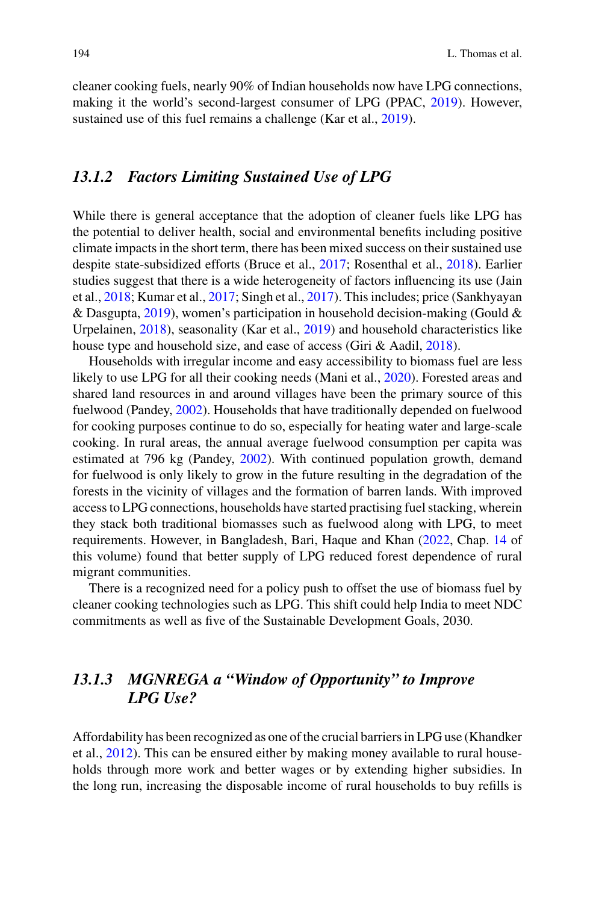cleaner cooking fuels, nearly 90% of Indian households now have LPG connections, making it the world's second-largest consumer of LPG (PPAC, [2019\)](#page-12-7). However, sustained use of this fuel remains a challenge (Kar et al., [2019\)](#page-11-7).

## *13.1.2 Factors Limiting Sustained Use of LPG*

While there is general acceptance that the adoption of cleaner fuels like LPG has the potential to deliver health, social and environmental benefits including positive climate impacts in the short term, there has been mixed success on their sustained use despite state-subsidized efforts (Bruce et al., [2017;](#page-10-0) Rosenthal et al., [2018\)](#page-12-1). Earlier studies suggest that there is a wide heterogeneity of factors influencing its use (Jain et al., [2018;](#page-11-8) Kumar et al., [2017;](#page-11-9) Singh et al., [2017\)](#page-12-8). This includes; price (Sankhyayan & Dasgupta, [2019\)](#page-12-6), women's participation in household decision-making (Gould & Urpelainen, [2018\)](#page-10-8), seasonality (Kar et al., [2019\)](#page-11-7) and household characteristics like house type and household size, and ease of access (Giri & Aadil, [2018\)](#page-10-9).

Households with irregular income and easy accessibility to biomass fuel are less likely to use LPG for all their cooking needs (Mani et al., [2020\)](#page-11-10). Forested areas and shared land resources in and around villages have been the primary source of this fuelwood (Pandey, [2002\)](#page-11-11). Households that have traditionally depended on fuelwood for cooking purposes continue to do so, especially for heating water and large-scale cooking. In rural areas, the annual average fuelwood consumption per capita was estimated at 796 kg (Pandey, [2002\)](#page-11-11). With continued population growth, demand for fuelwood is only likely to grow in the future resulting in the degradation of the forests in the vicinity of villages and the formation of barren lands. With improved access to LPG connections, households have started practising fuel stacking, wherein they stack both traditional biomasses such as fuelwood along with LPG, to meet requirements. However, in Bangladesh, Bari, Haque and Khan [\(2022,](#page-10-10) Chap. 14 of this volume) found that better supply of LPG reduced forest dependence of rural migrant communities.

There is a recognized need for a policy push to offset the use of biomass fuel by cleaner cooking technologies such as LPG. This shift could help India to meet NDC commitments as well as five of the Sustainable Development Goals, 2030.

# *13.1.3 MGNREGA a "Window of Opportunity" to Improve LPG Use?*

Affordability has been recognized as one of the crucial barriers in LPG use (Khandker et al., [2012\)](#page-11-12). This can be ensured either by making money available to rural households through more work and better wages or by extending higher subsidies. In the long run, increasing the disposable income of rural households to buy refills is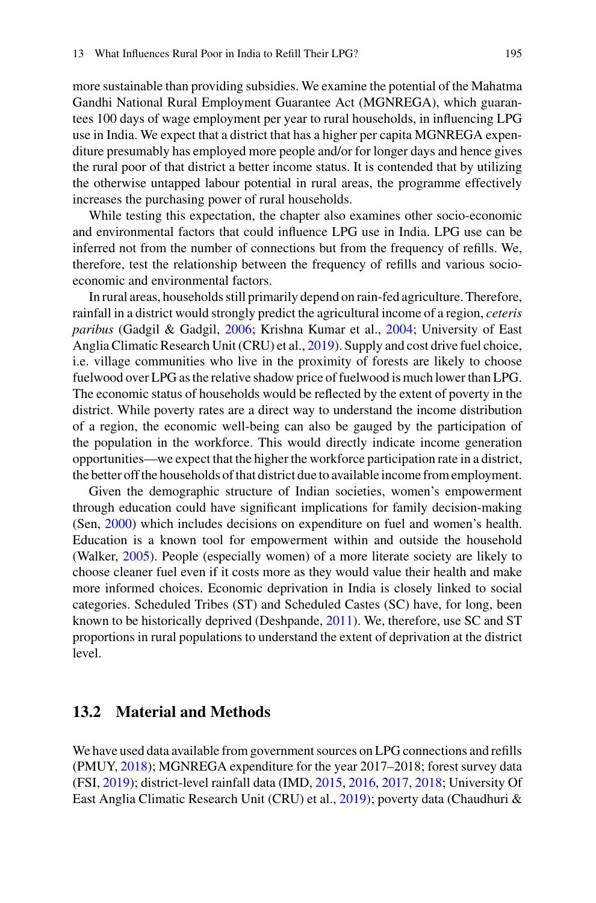more sustainable than providing subsidies. We examine the potential of the Mahatma Gandhi National Rural Employment Guarantee Act (MGNREGA), which guarantees 100 days of wage employment per year to rural households, in influencing LPG use in India. We expect that a district that has a higher per capita MGNREGA expenditure presumably has employed more people and/or for longer days and hence gives the rural poor of that district a better income status. It is contended that by utilizing the otherwise untapped labour potential in rural areas, the programme effectively increases the purchasing power of rural households.

While testing this expectation, the chapter also examines other socio-economic and environmental factors that could influence LPG use in India. LPG use can be inferred not from the number of connections but from the frequency of refills. We, therefore, test the relationship between the frequency of refills and various socioeconomic and environmental factors.

In rural areas, households still primarily depend on rain-fed agriculture. Therefore, rainfall in a district would strongly predict the agricultural income of a region, *ceteris paribus* (Gadgil & Gadgil, [2006;](#page-10-11) Krishna Kumar et al., [2004;](#page-11-13) University of East Anglia Climatic Research Unit (CRU) et al., [2019\)](#page-12-9). Supply and cost drive fuel choice, i.e. village communities who live in the proximity of forests are likely to choose fuelwood over LPG as the relative shadow price of fuelwood is much lower than LPG. The economic status of households would be reflected by the extent of poverty in the district. While poverty rates are a direct way to understand the income distribution of a region, the economic well-being can also be gauged by the participation of the population in the workforce. This would directly indicate income generation opportunities—we expect that the higher the workforce participation rate in a district, the better off the households of that district due to available income from employment.

Given the demographic structure of Indian societies, women's empowerment through education could have significant implications for family decision-making (Sen, [2000\)](#page-12-10) which includes decisions on expenditure on fuel and women's health. Education is a known tool for empowerment within and outside the household (Walker, [2005\)](#page-12-11). People (especially women) of a more literate society are likely to choose cleaner fuel even if it costs more as they would value their health and make more informed choices. Economic deprivation in India is closely linked to social categories. Scheduled Tribes (ST) and Scheduled Castes (SC) have, for long, been known to be historically deprived (Deshpande, [2011\)](#page-10-12). We, therefore, use SC and ST proportions in rural populations to understand the extent of deprivation at the district level.

# **13.2 Material and Methods**

We have used data available from government sources on LPG connections and refills (PMUY, [2018\)](#page-11-14); MGNREGA expenditure for the year 2017–2018; forest survey data (FSI, [2019\)](#page-10-13); district-level rainfall data (IMD, [2015,](#page-11-15) [2016,](#page-11-16) [2017,](#page-11-17) [2018;](#page-11-18) University Of East Anglia Climatic Research Unit (CRU) et al., [2019\)](#page-12-9); poverty data (Chaudhuri &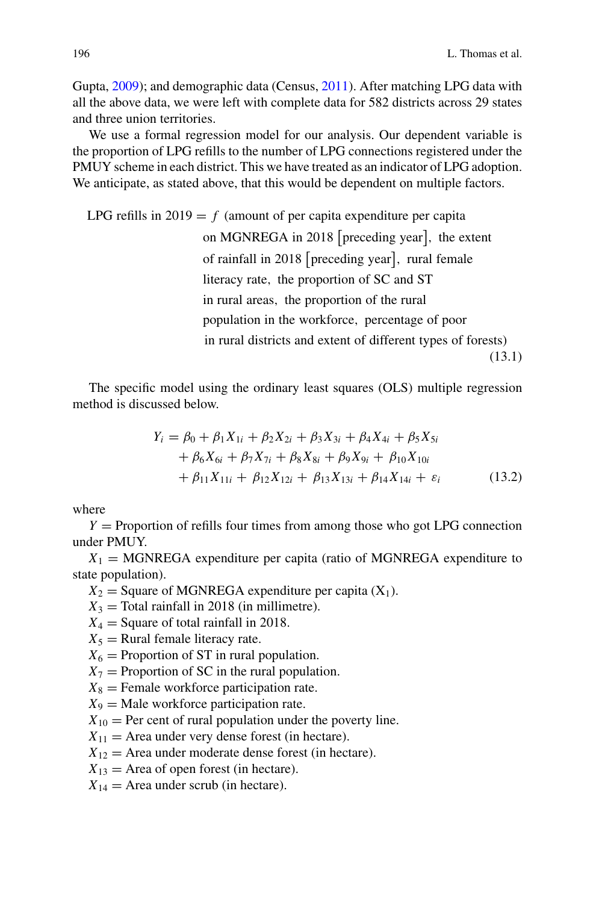Gupta, [2009\)](#page-10-14); and demographic data (Census, [2011\)](#page-10-15). After matching LPG data with all the above data, we were left with complete data for 582 districts across 29 states and three union territories.

We use a formal regression model for our analysis. Our dependent variable is the proportion of LPG refills to the number of LPG connections registered under the PMUY scheme in each district. This we have treated as an indicator of LPG adoption. We anticipate, as stated above, that this would be dependent on multiple factors.

LPG refills in  $2019 = f$  (amount of per capita expenditure per capita on MGNREGA in 2018  $[$  preceding year $]$ , the extent of rainfall in 2018 | preceding year  $\vert$ , rural female literacy rate, the proportion of SC and ST in rural areas, the proportion of the rural population in the workforce, percentage of poor in rural districts and extent of different types of forests) (13.1)

The specific model using the ordinary least squares (OLS) multiple regression method is discussed below.

$$
Y_i = \beta_0 + \beta_1 X_{1i} + \beta_2 X_{2i} + \beta_3 X_{3i} + \beta_4 X_{4i} + \beta_5 X_{5i}
$$
  
+  $\beta_6 X_{6i} + \beta_7 X_{7i} + \beta_8 X_{8i} + \beta_9 X_{9i} + \beta_{10} X_{10i}$   
+  $\beta_{11} X_{11i} + \beta_{12} X_{12i} + \beta_{13} X_{13i} + \beta_{14} X_{14i} + \varepsilon_i$  (13.2)

where

*Y* = Proportion of refills four times from among those who got LPG connection under PMUY.

 $X_1$  = MGNREGA expenditure per capita (ratio of MGNREGA expenditure to state population).

 $X_2$  = Square of MGNREGA expenditure per capita  $(X_1)$ .

- $X_3$  = Total rainfall in 2018 (in millimetre).
- $X_4$  = Square of total rainfall in 2018.
- $X_5$  = Rural female literacy rate.
- $X_6$  = Proportion of ST in rural population.
- $X_7$  = Proportion of SC in the rural population.
- $X_8$  = Female workforce participation rate.
- $X_9$  = Male workforce participation rate.
- $X_{10}$  = Per cent of rural population under the poverty line.
- $X_{11}$  = Area under very dense forest (in hectare).
- $X_{12}$  = Area under moderate dense forest (in hectare).
- $X_{13}$  = Area of open forest (in hectare).
- $X_{14}$  = Area under scrub (in hectare).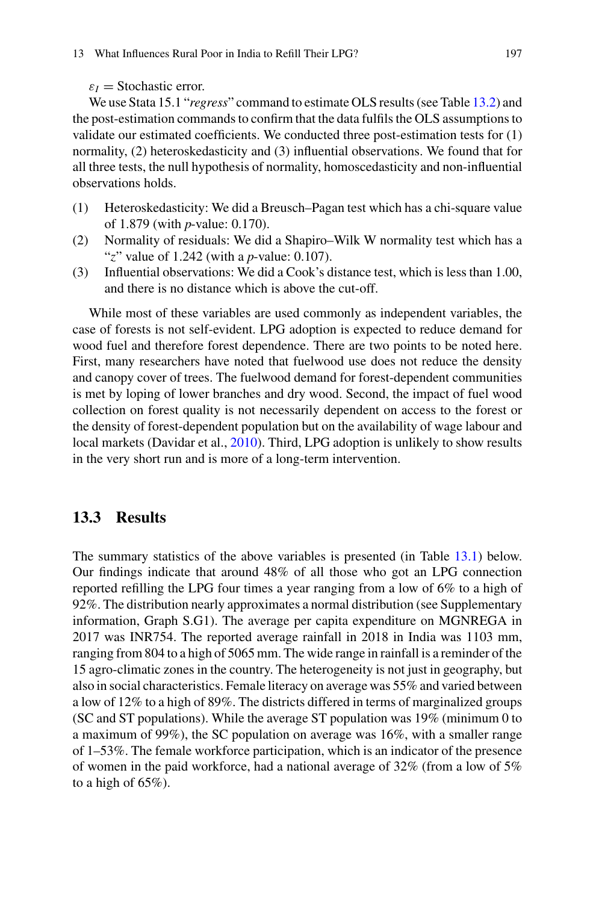$\varepsilon_I$  = Stochastic error.

We use Stata 15.1 "*regress*" command to estimate OLS results (see Table [13.2\)](#page-8-0) and the post-estimation commands to confirm that the data fulfils the OLS assumptions to validate our estimated coefficients. We conducted three post-estimation tests for (1) normality, (2) heteroskedasticity and (3) influential observations. We found that for all three tests, the null hypothesis of normality, homoscedasticity and non-influential observations holds.

- (1) Heteroskedasticity: We did a Breusch–Pagan test which has a chi-square value of 1.879 (with *p*-value: 0.170).
- (2) Normality of residuals: We did a Shapiro–Wilk W normality test which has a "*z*" value of 1.242 (with a *p*-value: 0.107).
- (3) Influential observations: We did a Cook's distance test, which is less than 1.00, and there is no distance which is above the cut-off.

While most of these variables are used commonly as independent variables, the case of forests is not self-evident. LPG adoption is expected to reduce demand for wood fuel and therefore forest dependence. There are two points to be noted here. First, many researchers have noted that fuelwood use does not reduce the density and canopy cover of trees. The fuelwood demand for forest-dependent communities is met by loping of lower branches and dry wood. Second, the impact of fuel wood collection on forest quality is not necessarily dependent on access to the forest or the density of forest-dependent population but on the availability of wage labour and local markets (Davidar et al., [2010\)](#page-10-16). Third, LPG adoption is unlikely to show results in the very short run and is more of a long-term intervention.

## **13.3 Results**

The summary statistics of the above variables is presented (in Table [13.1\)](#page-7-0) below. Our findings indicate that around 48% of all those who got an LPG connection reported refilling the LPG four times a year ranging from a low of 6% to a high of 92%. The distribution nearly approximates a normal distribution (see Supplementary information, Graph S.G1). The average per capita expenditure on MGNREGA in 2017 was INR754. The reported average rainfall in 2018 in India was 1103 mm, ranging from 804 to a high of 5065 mm. The wide range in rainfall is a reminder of the 15 agro-climatic zones in the country. The heterogeneity is not just in geography, but also in social characteristics. Female literacy on average was 55% and varied between a low of 12% to a high of 89%. The districts differed in terms of marginalized groups (SC and ST populations). While the average ST population was 19% (minimum 0 to a maximum of 99%), the SC population on average was 16%, with a smaller range of 1–53%. The female workforce participation, which is an indicator of the presence of women in the paid workforce, had a national average of  $32\%$  (from a low of  $5\%$ to a high of  $65\%$ ).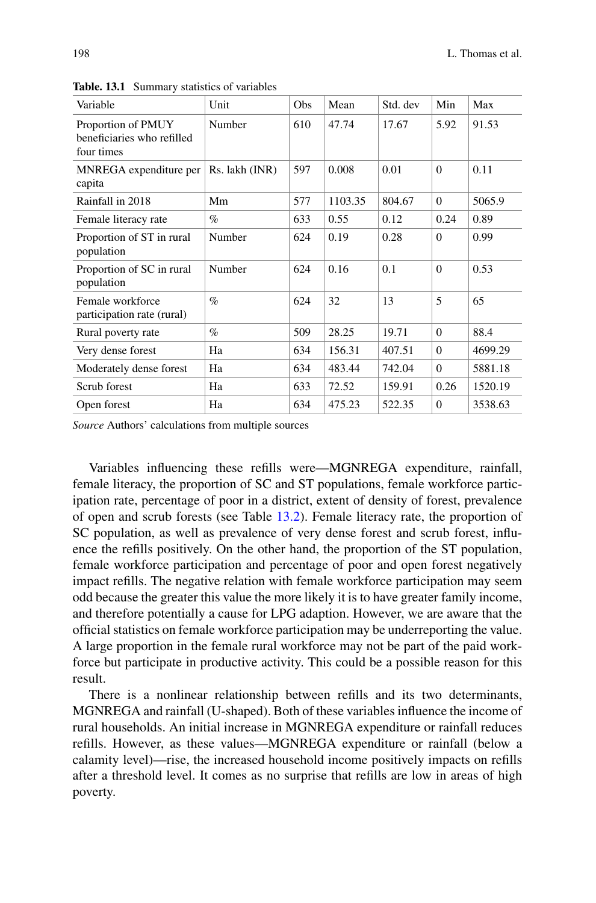| Variable                                                       | Unit           | Obs | Mean    | Std. dev | Min      | Max     |
|----------------------------------------------------------------|----------------|-----|---------|----------|----------|---------|
| Proportion of PMUY<br>beneficiaries who refilled<br>four times | Number         | 610 | 47.74   | 17.67    | 5.92     | 91.53   |
| MNREGA expenditure per<br>capita                               | Rs. lakh (INR) | 597 | 0.008   | 0.01     | $\Omega$ | 0.11    |
| Rainfall in 2018                                               | Mm             | 577 | 1103.35 | 804.67   | $\Omega$ | 5065.9  |
| Female literacy rate                                           | $\%$           | 633 | 0.55    | 0.12     | 0.24     | 0.89    |
| Proportion of ST in rural<br>population                        | Number         | 624 | 0.19    | 0.28     | $\Omega$ | 0.99    |
| Proportion of SC in rural<br>population                        | Number         | 624 | 0.16    | 0.1      | $\Omega$ | 0.53    |
| Female workforce<br>participation rate (rural)                 | $\%$           | 624 | 32      | 13       | 5        | 65      |
| Rural poverty rate                                             | $\%$           | 509 | 28.25   | 19.71    | $\Omega$ | 88.4    |
| Very dense forest                                              | Ha             | 634 | 156.31  | 407.51   | $\Omega$ | 4699.29 |
| Moderately dense forest                                        | Ha             | 634 | 483.44  | 742.04   | $\Omega$ | 5881.18 |
| Scrub forest                                                   | Ha             | 633 | 72.52   | 159.91   | 0.26     | 1520.19 |
| Open forest                                                    | Ha             | 634 | 475.23  | 522.35   | $\Omega$ | 3538.63 |

<span id="page-7-0"></span>**Table. 13.1** Summary statistics of variables

*Source* Authors' calculations from multiple sources

Variables influencing these refills were—MGNREGA expenditure, rainfall, female literacy, the proportion of SC and ST populations, female workforce participation rate, percentage of poor in a district, extent of density of forest, prevalence of open and scrub forests (see Table [13.2\)](#page-8-0). Female literacy rate, the proportion of SC population, as well as prevalence of very dense forest and scrub forest, influence the refills positively. On the other hand, the proportion of the ST population, female workforce participation and percentage of poor and open forest negatively impact refills. The negative relation with female workforce participation may seem odd because the greater this value the more likely it is to have greater family income, and therefore potentially a cause for LPG adaption. However, we are aware that the official statistics on female workforce participation may be underreporting the value. A large proportion in the female rural workforce may not be part of the paid workforce but participate in productive activity. This could be a possible reason for this result.

There is a nonlinear relationship between refills and its two determinants, MGNREGA and rainfall (U-shaped). Both of these variables influence the income of rural households. An initial increase in MGNREGA expenditure or rainfall reduces refills. However, as these values—MGNREGA expenditure or rainfall (below a calamity level)—rise, the increased household income positively impacts on refills after a threshold level. It comes as no surprise that refills are low in areas of high poverty.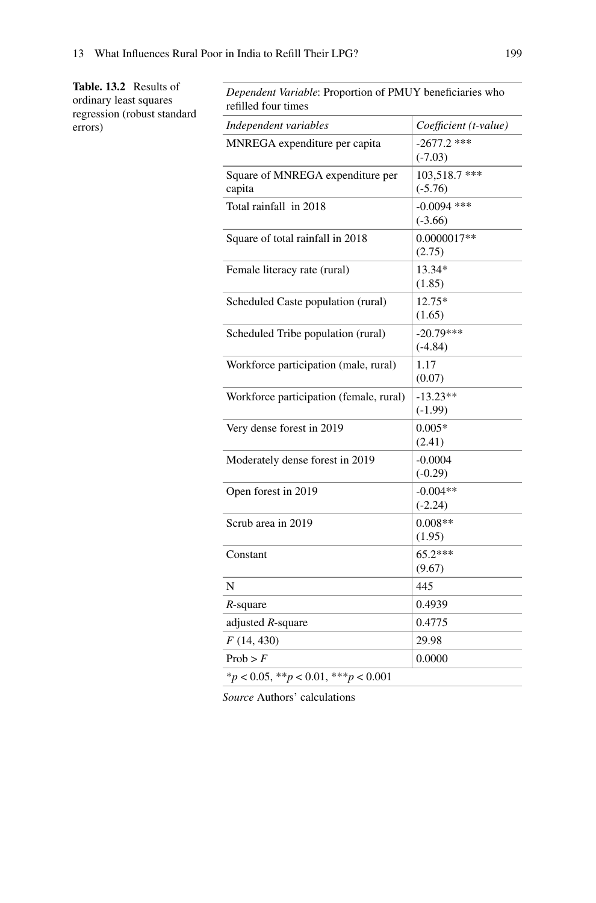<span id="page-8-0"></span>**Table. 13.2** Results of ordinary least squares regression (robust standard errors)

| Dependent Variable: Proportion of PMUY beneficiaries who<br>refilled four times |                            |  |  |
|---------------------------------------------------------------------------------|----------------------------|--|--|
| Independent variables                                                           | Coefficient (t-value)      |  |  |
| MNREGA expenditure per capita                                                   | $-2677.2$ ***<br>$(-7.03)$ |  |  |
| Square of MNREGA expenditure per<br>capita                                      | 103,518.7 ***<br>$(-5.76)$ |  |  |
| Total rainfall in 2018                                                          | $-0.0094$ ***<br>$(-3.66)$ |  |  |
| Square of total rainfall in 2018                                                | 0.0000017**<br>(2.75)      |  |  |
| Female literacy rate (rural)                                                    | 13.34*<br>(1.85)           |  |  |
| Scheduled Caste population (rural)                                              | 12.75*<br>(1.65)           |  |  |
| Scheduled Tribe population (rural)                                              | $-20.79***$<br>$(-4.84)$   |  |  |
| Workforce participation (male, rural)                                           | 1.17<br>(0.07)             |  |  |
| Workforce participation (female, rural)                                         | $-13.23**$<br>$(-1.99)$    |  |  |
| Very dense forest in 2019                                                       | $0.005*$<br>(2.41)         |  |  |
| Moderately dense forest in 2019                                                 | $-0.0004$<br>$(-0.29)$     |  |  |
| Open forest in 2019                                                             | $-0.004**$<br>$(-2.24)$    |  |  |
| Scrub area in 2019                                                              | $0.008**$<br>(1.95)        |  |  |
| Constant                                                                        | $65.2***$<br>(9.67)        |  |  |
| N                                                                               | 445                        |  |  |
| $R$ -square                                                                     | 0.4939                     |  |  |
| adjusted $R$ -square                                                            | 0.4775                     |  |  |
| F(14, 430)                                                                      | 29.98                      |  |  |
| Prob > F                                                                        | 0.0000                     |  |  |
| $*_{p}$ < 0.05, $*_{p}$ < 0.01, $*_{p}$ < 0.001                                 |                            |  |  |

*Source* Authors' calculations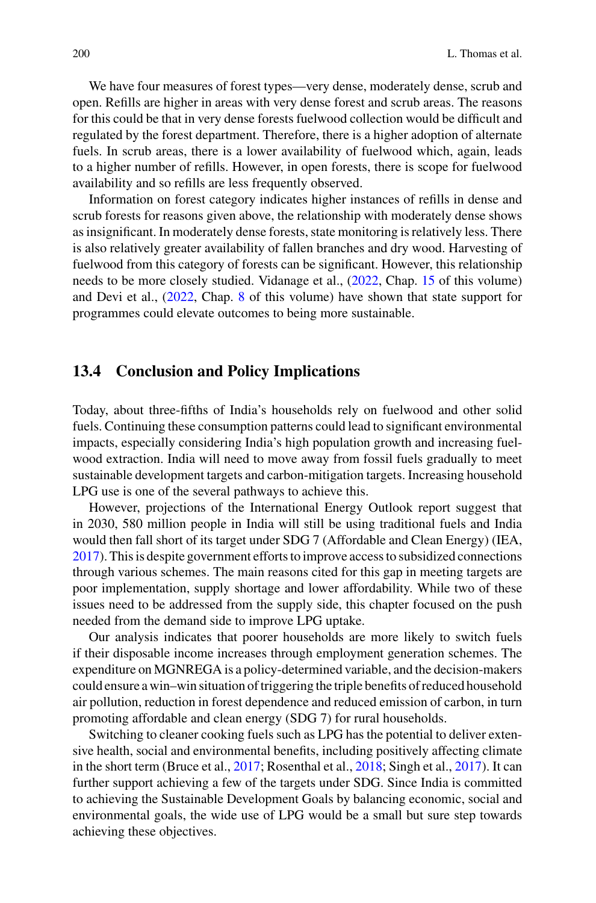We have four measures of forest types—very dense, moderately dense, scrub and open. Refills are higher in areas with very dense forest and scrub areas. The reasons for this could be that in very dense forests fuelwood collection would be difficult and regulated by the forest department. Therefore, there is a higher adoption of alternate fuels. In scrub areas, there is a lower availability of fuelwood which, again, leads to a higher number of refills. However, in open forests, there is scope for fuelwood availability and so refills are less frequently observed.

Information on forest category indicates higher instances of refills in dense and scrub forests for reasons given above, the relationship with moderately dense shows as insignificant. In moderately dense forests, state monitoring is relatively less. There is also relatively greater availability of fallen branches and dry wood. Harvesting of fuelwood from this category of forests can be significant. However, this relationship needs to be more closely studied. Vidanage et al., [\(2022,](#page-12-12) Chap. 15 of this volume) and Devi et al., [\(2022,](#page-10-17) Chap. 8 of this volume) have shown that state support for programmes could elevate outcomes to being more sustainable.

## **13.4 Conclusion and Policy Implications**

Today, about three-fifths of India's households rely on fuelwood and other solid fuels. Continuing these consumption patterns could lead to significant environmental impacts, especially considering India's high population growth and increasing fuelwood extraction. India will need to move away from fossil fuels gradually to meet sustainable development targets and carbon-mitigation targets. Increasing household LPG use is one of the several pathways to achieve this.

However, projections of the International Energy Outlook report suggest that in 2030, 580 million people in India will still be using traditional fuels and India would then fall short of its target under SDG 7 (Affordable and Clean Energy) (IEA, [2017\)](#page-11-19). This is despite government efforts to improve access to subsidized connections through various schemes. The main reasons cited for this gap in meeting targets are poor implementation, supply shortage and lower affordability. While two of these issues need to be addressed from the supply side, this chapter focused on the push needed from the demand side to improve LPG uptake.

Our analysis indicates that poorer households are more likely to switch fuels if their disposable income increases through employment generation schemes. The expenditure on MGNREGA is a policy-determined variable, and the decision-makers could ensure a win–win situation of triggering the triple benefits of reduced household air pollution, reduction in forest dependence and reduced emission of carbon, in turn promoting affordable and clean energy (SDG 7) for rural households.

Switching to cleaner cooking fuels such as LPG has the potential to deliver extensive health, social and environmental benefits, including positively affecting climate in the short term (Bruce et al., [2017;](#page-10-0) Rosenthal et al., [2018;](#page-12-1) Singh et al., [2017\)](#page-12-8). It can further support achieving a few of the targets under SDG. Since India is committed to achieving the Sustainable Development Goals by balancing economic, social and environmental goals, the wide use of LPG would be a small but sure step towards achieving these objectives.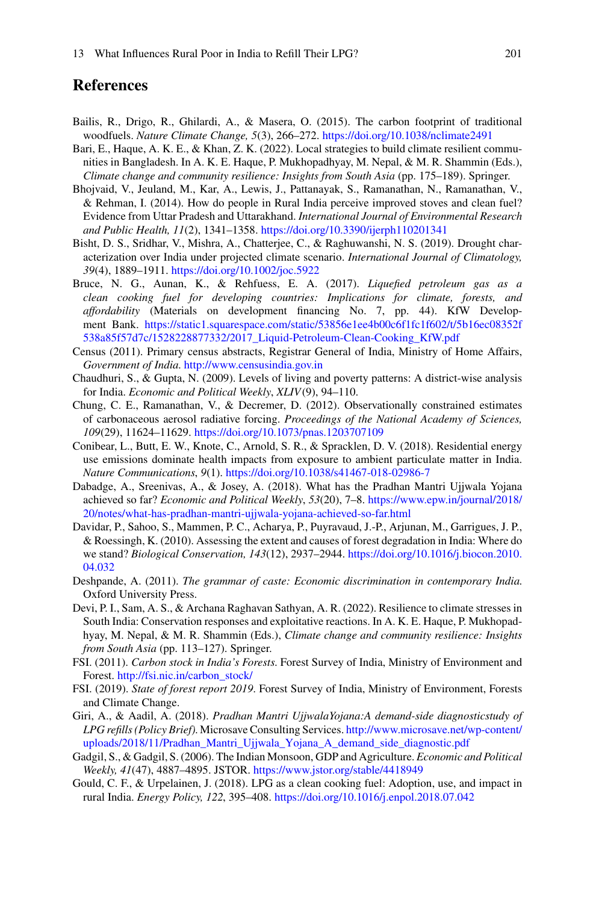#### **References**

- <span id="page-10-3"></span>Bailis, R., Drigo, R., Ghilardi, A., & Masera, O. (2015). The carbon footprint of traditional woodfuels. *Nature Climate Change, 5*(3), 266–272. <https://doi.org/10.1038/nclimate2491>
- <span id="page-10-10"></span>Bari, E., Haque, A. K. E., & Khan, Z. K. (2022). Local strategies to build climate resilient communities in Bangladesh. In A. K. E. Haque, P. Mukhopadhyay, M. Nepal, & M. R. Shammin (Eds.), *Climate change and community resilience: Insights from South Asia* (pp. 175–189). Springer.
- <span id="page-10-6"></span>Bhojvaid, V., Jeuland, M., Kar, A., Lewis, J., Pattanayak, S., Ramanathan, N., Ramanathan, V., & Rehman, I. (2014). How do people in Rural India perceive improved stoves and clean fuel? Evidence from Uttar Pradesh and Uttarakhand. *International Journal of Environmental Research and Public Health, 11*(2), 1341–1358. <https://doi.org/10.3390/ijerph110201341>
- <span id="page-10-5"></span>Bisht, D. S., Sridhar, V., Mishra, A., Chatterjee, C., & Raghuwanshi, N. S. (2019). Drought characterization over India under projected climate scenario. *International Journal of Climatology, 39*(4), 1889–1911. <https://doi.org/10.1002/joc.5922>
- <span id="page-10-0"></span>Bruce, N. G., Aunan, K., & Rehfuess, E. A. (2017). *Liquefied petroleum gas as a clean cooking fuel for developing countries: Implications for climate, forests, and affordability* (Materials on development financing No. 7, pp. 44). KfW Development Bank. [https://static1.squarespace.com/static/53856e1ee4b00c6f1fc1f602/t/5b16ec08352f](https://static1.squarespace.com/static/53856e1ee4b00c6f1fc1f602/t/5b16ec08352f538a85f57d7c/1528228877332/2017_Liquid-Petroleum-Clean-Cooking_KfW.pdf) 538a85f57d7c/1528228877332/2017\_Liquid-Petroleum-Clean-Cooking\_KfW.pdf
- <span id="page-10-15"></span>Census (2011). Primary census abstracts, Registrar General of India, Ministry of Home Affairs, *Government of India*. <http://www.censusindia.gov.in>
- <span id="page-10-14"></span>Chaudhuri, S., & Gupta, N. (2009). Levels of living and poverty patterns: A district-wise analysis for India. *Economic and Political Weekly*, *XLIV*(9), 94–110.
- <span id="page-10-2"></span>Chung, C. E., Ramanathan, V., & Decremer, D. (2012). Observationally constrained estimates of carbonaceous aerosol radiative forcing. *Proceedings of the National Academy of Sciences, 109*(29), 11624–11629. <https://doi.org/10.1073/pnas.1203707109>
- <span id="page-10-1"></span>Conibear, L., Butt, E. W., Knote, C., Arnold, S. R., & Spracklen, D. V. (2018). Residential energy use emissions dominate health impacts from exposure to ambient particulate matter in India. *Nature Communications*, *9*(1). <https://doi.org/10.1038/s41467-018-02986-7>
- <span id="page-10-7"></span>Dabadge, A., Sreenivas, A., & Josey, A. (2018). What has the Pradhan Mantri Ujjwala Yojana achieved so far? *Economic and Political Weekly*, *53*(20), 7–8. https://www.epw.in/journal/2018/ [20/notes/what-has-pradhan-mantri-ujjwala-yojana-achieved-so-far.html](https://www.epw.in/journal/2018/20/notes/what-has-pradhan-mantri-ujjwala-yojana-achieved-so-far.html)
- <span id="page-10-16"></span>Davidar, P., Sahoo, S., Mammen, P. C., Acharya, P., Puyravaud, J.-P., Arjunan, M., Garrigues, J. P., & Roessingh, K. (2010). Assessing the extent and causes of forest degradation in India: Where do we stand? *Biological Conservation, 143*(12), 2937–2944. [https://doi.org/10.1016/j.biocon.2010.](https://doi.org/10.1016/j.biocon.2010.04.032) 04.032
- <span id="page-10-12"></span>Deshpande, A. (2011). *The grammar of caste: Economic discrimination in contemporary India*. Oxford University Press.
- <span id="page-10-17"></span>Devi, P. I., Sam, A. S., & Archana Raghavan Sathyan, A. R. (2022). Resilience to climate stresses in South India: Conservation responses and exploitative reactions. In A. K. E. Haque, P. Mukhopadhyay, M. Nepal, & M. R. Shammin (Eds.), *Climate change and community resilience: Insights from South Asia* (pp. 113–127). Springer.
- <span id="page-10-4"></span>FSI. (2011). *Carbon stock in India's Forests*. Forest Survey of India, Ministry of Environment and Forest. [http://fsi.nic.in/carbon\\_stock/](http://fsi.nic.in/carbon_stock/)
- <span id="page-10-13"></span>FSI. (2019). *State of forest report 2019*. Forest Survey of India, Ministry of Environment, Forests and Climate Change.
- <span id="page-10-9"></span>Giri, A., & Aadil, A. (2018). *Pradhan Mantri UjjwalaYojana:A demand-side diagnosticstudy of LPG refills (Policy Brief)*. Microsave Consulting Services. http://www.microsave.net/wp-content/ [uploads/2018/11/Pradhan\\_Mantri\\_Ujjwala\\_Yojana\\_A\\_demand\\_side\\_diagnostic.pdf](http://www.microsave.net/wp-content/uploads/2018/11/Pradhan_Mantri_Ujjwala_Yojana_A_demand_side_diagnostic.pdf)
- <span id="page-10-11"></span>Gadgil, S., & Gadgil, S. (2006). The Indian Monsoon, GDP and Agriculture. *Economic and Political Weekly, 41*(47), 4887–4895. JSTOR. <https://www.jstor.org/stable/4418949>
- <span id="page-10-8"></span>Gould, C. F., & Urpelainen, J. (2018). LPG as a clean cooking fuel: Adoption, use, and impact in rural India. *Energy Policy, 122*, 395–408. <https://doi.org/10.1016/j.enpol.2018.07.042>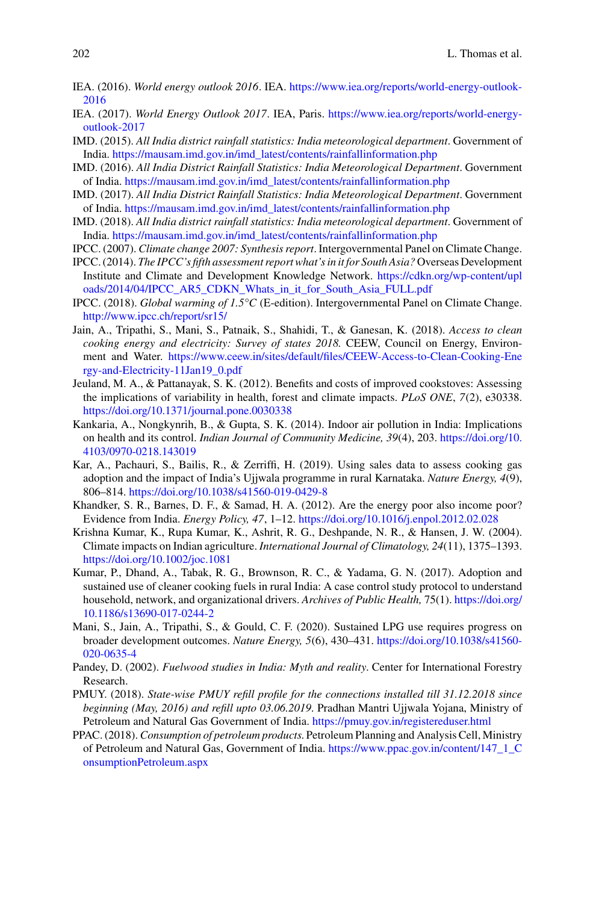- <span id="page-11-1"></span>IEA. (2016). *World energy outlook 2016*. IEA. [https://www.iea.org/reports/world-energy-outlook-](https://www.iea.org/reports/world-energy-outlook-2016)2016
- <span id="page-11-19"></span>IEA. (2017). *World Energy Outlook 2017*. IEA, Paris. [https://www.iea.org/reports/world-energy](https://www.iea.org/reports/world-energy-outlook-2017)outlook-2017
- <span id="page-11-15"></span>IMD. (2015). *All India district rainfall statistics: India meteorological department*. Government of India. [https://mausam.imd.gov.in/imd\\_latest/contents/rainfallinformation.php](https://mausam.imd.gov.in/imd_latest/contents/rainfallinformation.php)
- <span id="page-11-16"></span>IMD. (2016). *All India District Rainfall Statistics: India Meteorological Department*. Government of India. [https://mausam.imd.gov.in/imd\\_latest/contents/rainfallinformation.php](https://mausam.imd.gov.in/imd_latest/contents/rainfallinformation.php)
- <span id="page-11-17"></span>IMD. (2017). *All India District Rainfall Statistics: India Meteorological Department*. Government of India. [https://mausam.imd.gov.in/imd\\_latest/contents/rainfallinformation.php](https://mausam.imd.gov.in/imd_latest/contents/rainfallinformation.php)
- <span id="page-11-18"></span>IMD. (2018). *All India district rainfall statistics: India meteorological department*. Government of India. [https://mausam.imd.gov.in/imd\\_latest/contents/rainfallinformation.php](https://mausam.imd.gov.in/imd_latest/contents/rainfallinformation.php)
- <span id="page-11-3"></span>IPCC. (2007). *Climate change 2007: Synthesis report*. Intergovernmental Panel on Climate Change.
- <span id="page-11-4"></span>IPCC. (2014). *The IPCC's fifth assessment report what's in it for South Asia?* Overseas Development Institute and Climate and Development Knowledge Network. https://cdkn.org/wp-content/upl [oads/2014/04/IPCC\\_AR5\\_CDKN\\_Whats\\_in\\_it\\_for\\_South\\_Asia\\_FULL.pdf](https://cdkn.org/wp-content/uploads/2014/04/IPCC_AR5_CDKN_Whats_in_it_for_South_Asia_FULL.pdf)
- <span id="page-11-0"></span>IPCC. (2018). *Global warming of 1.5°C* (E-edition). Intergovernmental Panel on Climate Change. <http://www.ipcc.ch/report/sr15/>
- <span id="page-11-8"></span>Jain, A., Tripathi, S., Mani, S., Patnaik, S., Shahidi, T., & Ganesan, K. (2018). *Access to clean cooking energy and electricity: Survey of states 2018.* CEEW, Council on Energy, Environment and Water. [https://www.ceew.in/sites/default/files/CEEW-Access-to-Clean-Cooking-Ene](https://www.ceew.in/sites/default/files/CEEW-Access-to-Clean-Cooking-Energy-and-Electricity-11Jan19_0.pdf) rgy-and-Electricity-11Jan19\_0.pdf
- <span id="page-11-5"></span>Jeuland, M. A., & Pattanayak, S. K. (2012). Benefits and costs of improved cookstoves: Assessing the implications of variability in health, forest and climate impacts. *PLoS ONE*, *7*(2), e30338. <https://doi.org/10.1371/journal.pone.0030338>
- <span id="page-11-2"></span>Kankaria, A., Nongkynrih, B., & Gupta, S. K. (2014). Indoor air pollution in India: Implications on health and its control. *[Indian Journal of Community Medicine, 39](https://doi.org/10.4103/0970-0218.143019)*(4), 203. https://doi.org/10. 4103/0970-0218.143019
- <span id="page-11-7"></span>Kar, A., Pachauri, S., Bailis, R., & Zerriffi, H. (2019). Using sales data to assess cooking gas adoption and the impact of India's Ujjwala programme in rural Karnataka. *Nature Energy, 4*(9), 806–814. <https://doi.org/10.1038/s41560-019-0429-8>
- <span id="page-11-12"></span>Khandker, S. R., Barnes, D. F., & Samad, H. A. (2012). Are the energy poor also income poor? Evidence from India. *Energy Policy, 47*, 1–12. <https://doi.org/10.1016/j.enpol.2012.02.028>
- <span id="page-11-13"></span>Krishna Kumar, K., Rupa Kumar, K., Ashrit, R. G., Deshpande, N. R., & Hansen, J. W. (2004). Climate impacts on Indian agriculture. *International Journal of Climatology, 24*(11), 1375–1393. <https://doi.org/10.1002/joc.1081>
- <span id="page-11-9"></span>Kumar, P., Dhand, A., Tabak, R. G., Brownson, R. C., & Yadama, G. N. (2017). Adoption and sustained use of cleaner cooking fuels in rural India: A case control study protocol to understand [household, network, and organizational drivers.](https://doi.org/10.1186/s13690-017-0244-2) *Archives of Public Health,* 75(1). https://doi.org/ 10.1186/s13690-017-0244-2
- <span id="page-11-10"></span>Mani, S., Jain, A., Tripathi, S., & Gould, C. F. (2020). Sustained LPG use requires progress on [broader development outcomes.](https://doi.org/10.1038/s41560-020-0635-4) *Nature Energy, 5*(6), 430–431. https://doi.org/10.1038/s41560- 020-0635-4
- <span id="page-11-11"></span>Pandey, D. (2002). *Fuelwood studies in India: Myth and reality*. Center for International Forestry Research.
- <span id="page-11-14"></span>PMUY. (2018). *State-wise PMUY refill profile for the connections installed till 31.12.2018 since beginning (May, 2016) and refill upto 03.06.2019*. Pradhan Mantri Ujjwala Yojana, Ministry of Petroleum and Natural Gas Government of India. <https://pmuy.gov.in/registereduser.html>
- <span id="page-11-6"></span>PPAC. (2018). *Consumption of petroleum products*. Petroleum Planning and Analysis Cell, Ministry [of Petroleum and Natural Gas, Government of India.](https://www.ppac.gov.in/content/147_1_ConsumptionPetroleum.aspx) https://www.ppac.gov.in/content/147\_1\_C onsumptionPetroleum.aspx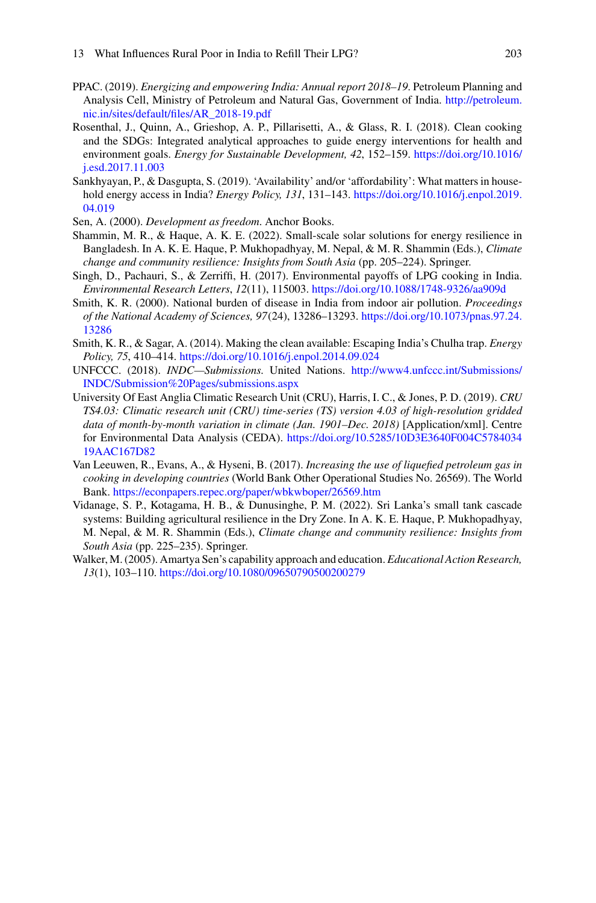- <span id="page-12-7"></span>PPAC. (2019). *Energizing and empowering India: Annual report 2018–19*. Petroleum Planning and [Analysis Cell, Ministry of Petroleum and Natural Gas, Government of India.](http://petroleum.nic.in/sites/default/files/AR_2018-19.pdf) http://petroleum. nic.in/sites/default/files/AR\_2018-19.pdf
- <span id="page-12-1"></span>Rosenthal, J., Quinn, A., Grieshop, A. P., Pillarisetti, A., & Glass, R. I. (2018). Clean cooking and the SDGs: Integrated analytical approaches to guide energy interventions for health and environment goals. *[Energy for Sustainable Development, 42](https://doi.org/10.1016/j.esd.2017.11.003)*, 152–159. https://doi.org/10.1016/ j.esd.2017.11.003
- <span id="page-12-6"></span>Sankhyayan, P., & Dasgupta, S. (2019). 'Availability' and/or 'affordability': What matters in household energy access in India? *Energy Policy, 131*, 131–143. [https://doi.org/10.1016/j.enpol.2019.](https://doi.org/10.1016/j.enpol.2019.04.019) 04.019
- <span id="page-12-10"></span>Sen, A. (2000). *Development as freedom*. Anchor Books.
- <span id="page-12-5"></span>Shammin, M. R., & Haque, A. K. E. (2022). Small-scale solar solutions for energy resilience in Bangladesh. In A. K. E. Haque, P. Mukhopadhyay, M. Nepal, & M. R. Shammin (Eds.), *Climate change and community resilience: Insights from South Asia* (pp. 205–224). Springer.
- <span id="page-12-8"></span>Singh, D., Pachauri, S., & Zerriffi, H. (2017). Environmental payoffs of LPG cooking in India. *Environmental Research Letters*, *12*(11), 115003. <https://doi.org/10.1088/1748-9326/aa909d>
- <span id="page-12-3"></span>Smith, K. R. (2000). National burden of disease in India from indoor air pollution. *Proceedings [of the National Academy of Sciences, 97](https://doi.org/10.1073/pnas.97.24.13286)*(24), 13286–13293. https://doi.org/10.1073/pnas.97.24. 13286
- <span id="page-12-4"></span>Smith, K. R., & Sagar, A. (2014). Making the clean available: Escaping India's Chulha trap. *Energy Policy, 75*, 410–414. <https://doi.org/10.1016/j.enpol.2014.09.024>
- <span id="page-12-0"></span>UNFCCC. (2018). *INDC—Submissions*. United Nations. http://www4.unfccc.int/Submissions/ [INDC/Submission%20Pages/submissions.aspx](http://www4.unfccc.int/Submissions/INDC/Submission%2520Pages/submissions.aspx)
- <span id="page-12-9"></span>University Of East Anglia Climatic Research Unit (CRU), Harris, I. C., & Jones, P. D. (2019). *CRU TS4.03: Climatic research unit (CRU) time-series (TS) version 4.03 of high-resolution gridded data of month-by-month variation in climate (Jan. 1901–Dec. 2018)* [Application/xml]. Centre for Environmental Data Analysis (CEDA). [https://doi.org/10.5285/10D3E3640F004C5784034](https://doi.org/10.5285/10D3E3640F004C578403419AAC167D82) 19AAC167D82
- <span id="page-12-2"></span>Van Leeuwen, R., Evans, A., & Hyseni, B. (2017). *Increasing the use of liquefied petroleum gas in cooking in developing countries* (World Bank Other Operational Studies No. 26569). The World Bank. <https://econpapers.repec.org/paper/wbkwboper/26569.htm>
- <span id="page-12-12"></span>Vidanage, S. P., Kotagama, H. B., & Dunusinghe, P. M. (2022). Sri Lanka's small tank cascade systems: Building agricultural resilience in the Dry Zone. In A. K. E. Haque, P. Mukhopadhyay, M. Nepal, & M. R. Shammin (Eds.), *Climate change and community resilience: Insights from South Asia* (pp. 225–235). Springer.
- <span id="page-12-11"></span>Walker, M. (2005). Amartya Sen's capability approach and education. *Educational Action Research, 13*(1), 103–110. <https://doi.org/10.1080/09650790500200279>